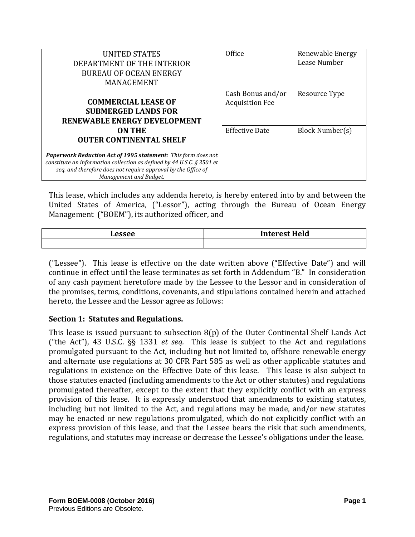| <b>UNITED STATES</b><br>DEPARTMENT OF THE INTERIOR<br><b>BUREAU OF OCEAN ENERGY</b><br>MANAGEMENT                                                                                                                                                                                     | Office                                      | Renewable Energy<br>Lease Number |
|---------------------------------------------------------------------------------------------------------------------------------------------------------------------------------------------------------------------------------------------------------------------------------------|---------------------------------------------|----------------------------------|
| <b>COMMERCIAL LEASE OF</b><br><b>SUBMERGED LANDS FOR</b><br>RENEWABLE ENERGY DEVELOPMENT                                                                                                                                                                                              | Cash Bonus and/or<br><b>Acquisition Fee</b> | Resource Type                    |
| <b>ON THE</b><br><b>OUTER CONTINENTAL SHELF</b><br>Paperwork Reduction Act of 1995 statement: This form does not<br>constitute an information collection as defined by 44 U.S.C. § 3501 et<br>seq. and therefore does not require approval by the Office of<br>Management and Budget. | <b>Effective Date</b>                       | Block Number(s)                  |

This lease, which includes any addenda hereto, is hereby entered into by and between the United States of America, ("Lessor"), acting through the Bureau of Ocean Energy Management ("BOEM"), its authorized officer, and

| <b>Lesser</b> | <b>Interest Held</b> |
|---------------|----------------------|
|               |                      |

("Lessee"). This lease is effective on the date written above ("Effective Date") and will continue in effect until the lease terminates as set forth in Addendum "B." In consideration of any cash payment heretofore made by the Lessee to the Lessor and in consideration of the promises, terms, conditions, covenants, and stipulations contained herein and attached hereto, the Lessee and the Lessor agree as follows:

### **Section 1: Statutes and Regulations.**

This lease is issued pursuant to subsection  $8(p)$  of the Outer Continental Shelf Lands Act ("the Act"), 43 U.S.C. §§ 1331 *et seq.* This lease is subject to the Act and regulations promulgated pursuant to the Act, including but not limited to, offshore renewable energy and alternate use regulations at 30 CFR Part 585 as well as other applicable statutes and regulations in existence on the Effective Date of this lease. This lease is also subject to those statutes enacted (including amendments to the Act or other statutes) and regulations promulgated thereafter, except to the extent that they explicitly conflict with an express provision of this lease. It is expressly understood that amendments to existing statutes, including but not limited to the Act, and regulations may be made, and/or new statutes may be enacted or new regulations promulgated, which do not explicitly conflict with an express provision of this lease, and that the Lessee bears the risk that such amendments, regulations, and statutes may increase or decrease the Lessee's obligations under the lease.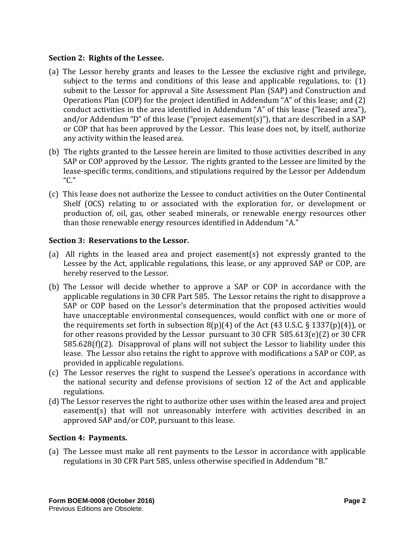#### **Section 2: Rights of the Lessee.**

- (a) The Lessor hereby grants and leases to the Lessee the exclusive right and privilege, subject to the terms and conditions of this lease and applicable regulations, to:  $(1)$ submit to the Lessor for approval a Site Assessment Plan (SAP) and Construction and Operations Plan  $(COP)$  for the project identified in Addendum "A" of this lease; and  $(2)$ conduct activities in the area identified in Addendum "A" of this lease ("leased area"), and/or Addendum "D" of this lease ("project easement(s)"), that are described in a SAP or COP that has been approved by the Lessor. This lease does not, by itself, authorize any activity within the leased area.
- (b) The rights granted to the Lessee herein are limited to those activities described in any SAP or COP approved by the Lessor. The rights granted to the Lessee are limited by the lease-specific terms, conditions, and stipulations required by the Lessor per Addendum "C."
- (c) This lease does not authorize the Lessee to conduct activities on the Outer Continental Shelf (OCS) relating to or associated with the exploration for, or development or production of, oil, gas, other seabed minerals, or renewable energy resources other than those renewable energy resources identified in Addendum "A."

#### **Section 3: Reservations to the Lessor.**

- (a) All rights in the leased area and project easement(s) not expressly granted to the Lessee by the Act, applicable regulations, this lease, or any approved SAP or COP, are hereby reserved to the Lessor.
- (b) The Lessor will decide whether to approve a SAP or COP in accordance with the applicable regulations in 30 CFR Part 585. The Lessor retains the right to disapprove a SAP or COP based on the Lessor's determination that the proposed activities would have unacceptable environmental consequences, would conflict with one or more of the requirements set forth in subsection  $8(p)(4)$  of the Act (43 U.S.C. § 1337(p)(4)), or for other reasons provided by the Lessor pursuant to 30 CFR  $585.613(e)(2)$  or 30 CFR  $585.628(f)(2)$ . Disapproval of plans will not subject the Lessor to liability under this lease. The Lessor also retains the right to approve with modifications a SAP or COP, as provided in applicable regulations.
- (c) The Lessor reserves the right to suspend the Lessee's operations in accordance with the national security and defense provisions of section 12 of the Act and applicable regulations.
- (d) The Lessor reserves the right to authorize other uses within the leased area and project easement(s) that will not unreasonably interfere with activities described in an approved SAP and/or COP, pursuant to this lease.

### **Section 4: Payments.**

(a) The Lessee must make all rent payments to the Lessor in accordance with applicable regulations in 30 CFR Part 585, unless otherwise specified in Addendum "B."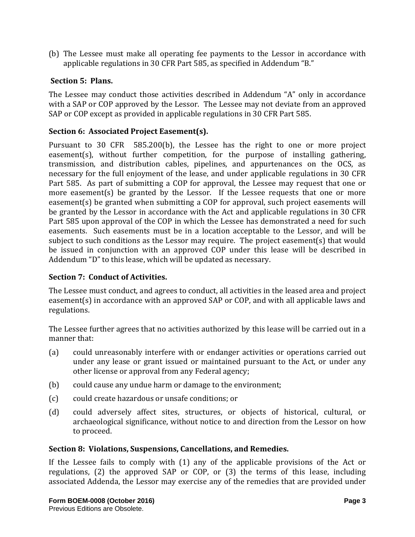(b) The Lessee must make all operating fee payments to the Lessor in accordance with applicable regulations in 30 CFR Part 585, as specified in Addendum "B."

### **Section 5: Plans.**

The Lessee may conduct those activities described in Addendum "A" only in accordance with a SAP or COP approved by the Lessor. The Lessee may not deviate from an approved SAP or COP except as provided in applicable regulations in 30 CFR Part 585.

## **Section 6: Associated Project Easement(s).**

Pursuant to 30 CFR 585.200(b), the Lessee has the right to one or more project  $easement(s)$ , without further competition, for the purpose of installing gathering, transmission, and distribution cables, pipelines, and appurtenances on the OCS, as necessary for the full enjoyment of the lease, and under applicable regulations in 30 CFR Part 585. As part of submitting a COP for approval, the Lessee may request that one or more easement(s) be granted by the Lessor. If the Lessee requests that one or more easement(s) be granted when submitting a COP for approval, such project easements will be granted by the Lessor in accordance with the Act and applicable regulations in 30 CFR Part 585 upon approval of the COP in which the Lessee has demonstrated a need for such easements. Such easements must be in a location acceptable to the Lessor, and will be subject to such conditions as the Lessor may require. The project easement(s) that would be issued in conjunction with an approved COP under this lease will be described in Addendum "D" to this lease, which will be updated as necessary.

### **Section 7: Conduct of Activities.**

The Lessee must conduct, and agrees to conduct, all activities in the leased area and project easement(s) in accordance with an approved SAP or COP, and with all applicable laws and regulations. 

The Lessee further agrees that no activities authorized by this lease will be carried out in a manner that:

- (a) could unreasonably interfere with or endanger activities or operations carried out under any lease or grant issued or maintained pursuant to the Act, or under any other license or approval from any Federal agency;
- (b) could cause any undue harm or damage to the environment;
- (c) could create hazardous or unsafe conditions; or
- (d) could adversely affect sites, structures, or objects of historical, cultural, or archaeological significance, without notice to and direction from the Lessor on how to proceed.

### **Section 8: Violations, Suspensions, Cancellations, and Remedies.**

If the Lessee fails to comply with  $(1)$  any of the applicable provisions of the Act or regulations,  $(2)$  the approved SAP or COP, or  $(3)$  the terms of this lease, including associated Addenda, the Lessor may exercise any of the remedies that are provided under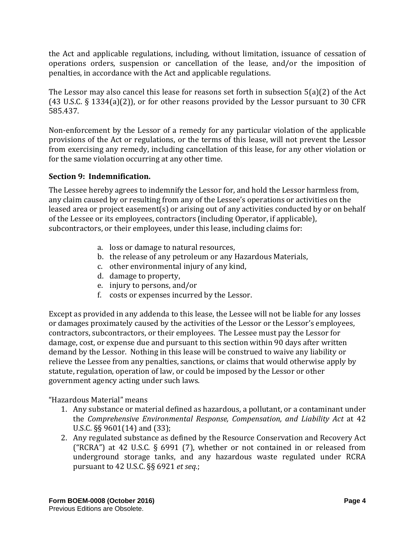the Act and applicable regulations, including, without limitation, issuance of cessation of operations orders, suspension or cancellation of the lease, and/or the imposition of penalties, in accordance with the Act and applicable regulations.

The Lessor may also cancel this lease for reasons set forth in subsection  $5(a)(2)$  of the Act (43 U.S.C. § 1334(a)(2)), or for other reasons provided by the Lessor pursuant to 30 CFR 585.437. 

Non-enforcement by the Lessor of a remedy for any particular violation of the applicable provisions of the Act or regulations, or the terms of this lease, will not prevent the Lessor from exercising any remedy, including cancellation of this lease, for any other violation or for the same violation occurring at any other time.

# **Section 9: Indemnification.**

The Lessee hereby agrees to indemnify the Lessor for, and hold the Lessor harmless from, any claim caused by or resulting from any of the Lessee's operations or activities on the leased area or project easement(s) or arising out of any activities conducted by or on behalf of the Lessee or its employees, contractors (including Operator, if applicable), subcontractors, or their employees, under this lease, including claims for:

- a. loss or damage to natural resources,
- b. the release of any petroleum or any Hazardous Materials,
- c. other environmental injury of any kind,
- d. damage to property,
- e. injury to persons, and/or
- f. costs or expenses incurred by the Lessor.

Except as provided in any addenda to this lease, the Lessee will not be liable for any losses or damages proximately caused by the activities of the Lessor or the Lessor's employees, contractors, subcontractors, or their employees. The Lessee must pay the Lessor for damage, cost, or expense due and pursuant to this section within 90 days after written demand by the Lessor. Nothing in this lease will be construed to waive any liability or relieve the Lessee from any penalties, sanctions, or claims that would otherwise apply by statute, regulation, operation of law, or could be imposed by the Lessor or other government agency acting under such laws.

"Hazardous Material" means 

- 1. Any substance or material defined as hazardous, a pollutant, or a contaminant under the *Comprehensive Environmental Response, Compensation, and Liability Act* at 42 U.S.C.  $\S$ § 9601(14) and (33);
- 2. Any regulated substance as defined by the Resource Conservation and Recovery Act ("RCRA") at 42 U.S.C. § 6991 (7), whether or not contained in or released from underground storage tanks, and any hazardous waste regulated under RCRA pursuant to 42 U.S.C. §§ 6921 *et seq.*;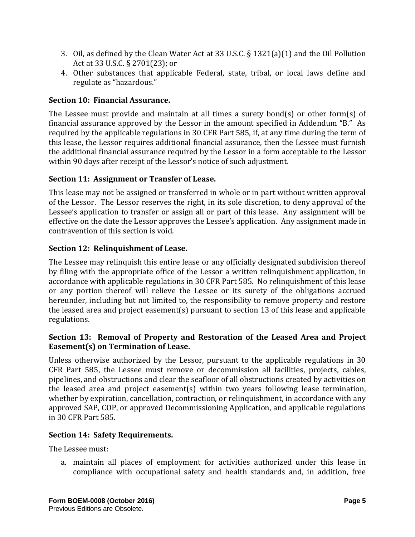- 3. Oil, as defined by the Clean Water Act at 33 U.S.C.  $\S$  1321(a)(1) and the Oil Pollution Act at 33 U.S.C. § 2701(23); or
- 4. Other substances that applicable Federal, state, tribal, or local laws define and regulate as "hazardous."

# **Section 10: Financial Assurance.**

The Lessee must provide and maintain at all times a surety bond(s) or other form(s) of financial assurance approved by the Lessor in the amount specified in Addendum "B." As required by the applicable regulations in 30 CFR Part 585, if, at any time during the term of this lease, the Lessor requires additional financial assurance, then the Lessee must furnish the additional financial assurance required by the Lessor in a form acceptable to the Lessor within 90 days after receipt of the Lessor's notice of such adjustment.

# **Section 11: Assignment or Transfer of Lease.**

This lease may not be assigned or transferred in whole or in part without written approval of the Lessor. The Lessor reserves the right, in its sole discretion, to deny approval of the Lessee's application to transfer or assign all or part of this lease. Any assignment will be effective on the date the Lessor approves the Lessee's application. Any assignment made in contravention of this section is void.

# **Section 12: Relinquishment of Lease.**

The Lessee may relinquish this entire lease or any officially designated subdivision thereof by filing with the appropriate office of the Lessor a written relinquishment application, in accordance with applicable regulations in 30 CFR Part 585. No relinquishment of this lease or any portion thereof will relieve the Lessee or its surety of the obligations accrued hereunder, including but not limited to, the responsibility to remove property and restore the leased area and project easement(s) pursuant to section 13 of this lease and applicable regulations. 

# **Section 13: Removal of Property and Restoration of the Leased Area and Project Easement(s) on Termination of Lease.**

Unless otherwise authorized by the Lessor, pursuant to the applicable regulations in  $30$ CFR Part 585, the Lessee must remove or decommission all facilities, projects, cables, pipelines, and obstructions and clear the seafloor of all obstructions created by activities on the leased area and project easement(s) within two years following lease termination, whether by expiration, cancellation, contraction, or relinquishment, in accordance with any approved SAP, COP, or approved Decommissioning Application, and applicable regulations in 30 CFR Part 585. 

### **Section 14: Safety Requirements.**

The Lessee must:

a. maintain all places of employment for activities authorized under this lease in compliance with occupational safety and health standards and, in addition, free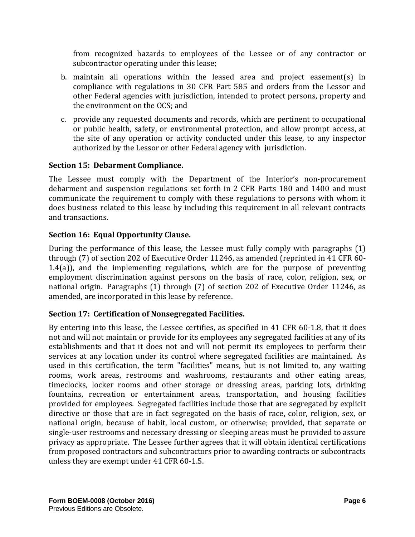from recognized hazards to employees of the Lessee or of any contractor or subcontractor operating under this lease;

- b. maintain all operations within the leased area and project easement(s) in compliance with regulations in 30 CFR Part 585 and orders from the Lessor and other Federal agencies with jurisdiction, intended to protect persons, property and the environment on the OCS; and
- c. provide any requested documents and records, which are pertinent to occupational or public health, safety, or environmental protection, and allow prompt access, at the site of any operation or activity conducted under this lease, to any inspector authorized by the Lessor or other Federal agency with jurisdiction.

# **Section 15: Debarment Compliance.**

The Lessee must comply with the Department of the Interior's non-procurement debarment and suspension regulations set forth in 2 CFR Parts 180 and 1400 and must communicate the requirement to comply with these regulations to persons with whom it does business related to this lease by including this requirement in all relevant contracts and transactions.

# **Section 16: Equal Opportunity Clause.**

During the performance of this lease, the Lessee must fully comply with paragraphs  $(1)$ through  $(7)$  of section 202 of Executive Order 11246, as amended (reprinted in 41 CFR 60-1.4(a)), and the implementing regulations, which are for the purpose of preventing employment discrimination against persons on the basis of race, color, religion, sex, or national origin. Paragraphs (1) through (7) of section 202 of Executive Order 11246, as amended, are incorporated in this lease by reference.

### **Section 17: Certification of Nonsegregated Facilities.**

By entering into this lease, the Lessee certifies, as specified in 41 CFR 60-1.8, that it does not and will not maintain or provide for its employees any segregated facilities at any of its establishments and that it does not and will not permit its employees to perform their services at any location under its control where segregated facilities are maintained. As used in this certification, the term "facilities" means, but is not limited to, any waiting rooms, work areas, restrooms and washrooms, restaurants and other eating areas, timeclocks, locker rooms and other storage or dressing areas, parking lots, drinking fountains, recreation or entertainment areas, transportation, and housing facilities provided for employees. Segregated facilities include those that are segregated by explicit directive or those that are in fact segregated on the basis of race, color, religion, sex, or national origin, because of habit, local custom, or otherwise; provided, that separate or single-user restrooms and necessary dressing or sleeping areas must be provided to assure privacy as appropriate. The Lessee further agrees that it will obtain identical certifications from proposed contractors and subcontractors prior to awarding contracts or subcontracts unless they are exempt under 41 CFR 60-1.5.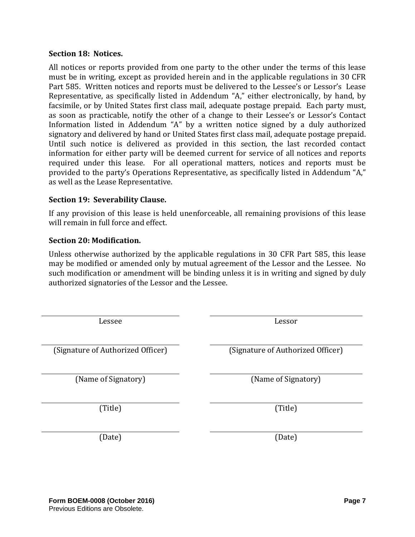#### **Section 18: Notices.**

All notices or reports provided from one party to the other under the terms of this lease must be in writing, except as provided herein and in the applicable regulations in 30 CFR Part 585. Written notices and reports must be delivered to the Lessee's or Lessor's Lease Representative, as specifically listed in Addendum "A," either electronically, by hand, by facsimile, or by United States first class mail, adequate postage prepaid. Each party must, as soon as practicable, notify the other of a change to their Lessee's or Lessor's Contact Information listed in Addendum "A" by a written notice signed by a duly authorized signatory and delivered by hand or United States first class mail, adequate postage prepaid. Until such notice is delivered as provided in this section, the last recorded contact information for either party will be deemed current for service of all notices and reports required under this lease. For all operational matters, notices and reports must be provided to the party's Operations Representative, as specifically listed in Addendum "A," as well as the Lease Representative.

#### **Section 19: Severability Clause.**

If any provision of this lease is held unenforceable, all remaining provisions of this lease will remain in full force and effect.

#### **Section 20: Modification.**

Unless otherwise authorized by the applicable regulations in 30 CFR Part 585, this lease may be modified or amended only by mutual agreement of the Lessor and the Lessee. No such modification or amendment will be binding unless it is in writing and signed by duly authorized signatories of the Lessor and the Lessee.

| Lessee                            | Lessor                            |
|-----------------------------------|-----------------------------------|
| (Signature of Authorized Officer) | (Signature of Authorized Officer) |
| (Name of Signatory)               | (Name of Signatory)               |
| (Title)                           | (Title)                           |
| (Date)                            | (Date)                            |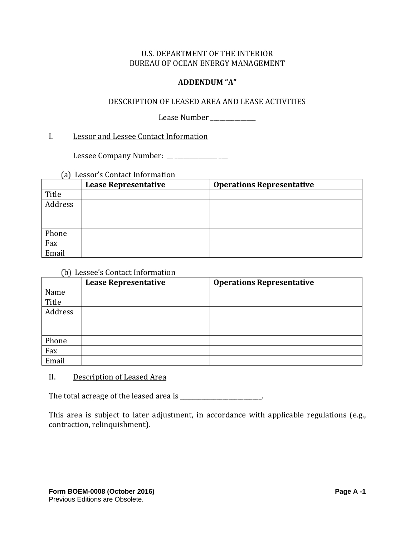### **ADDENDUM "A"**

#### DESCRIPTION OF LEASED AREA AND LEASE ACTIVITIES

Lease Number \_\_\_\_\_\_\_\_\_\_\_\_\_\_\_\_

#### I. Lessor and Lessee Contact Information

 Lessee Company Number: \_\_ \_\_\_\_\_\_\_\_\_\_\_\_\_\_ \_\_\_ 

# (a) Lessor's Contact Information

|         | <b>Lease Representative</b> | <b>Operations Representative</b> |
|---------|-----------------------------|----------------------------------|
| Title   |                             |                                  |
| Address |                             |                                  |
| Phone   |                             |                                  |
| Fax     |                             |                                  |
| Email   |                             |                                  |

#### (b) Lessee's Contact Information

| $\sim$ $\sim$ | <b>Lease Representative</b> | <b>Operations Representative</b> |
|---------------|-----------------------------|----------------------------------|
| Name          |                             |                                  |
| Title         |                             |                                  |
| Address       |                             |                                  |
|               |                             |                                  |
|               |                             |                                  |
| Phone         |                             |                                  |
| Fax           |                             |                                  |
| Email         |                             |                                  |

### II. Description of Leased Area

The total acreage of the leased area is \_\_\_\_\_\_\_\_\_\_\_\_\_\_\_\_\_\_\_\_\_\_\_.

This area is subject to later adjustment, in accordance with applicable regulations (e.g., contraction, relinquishment).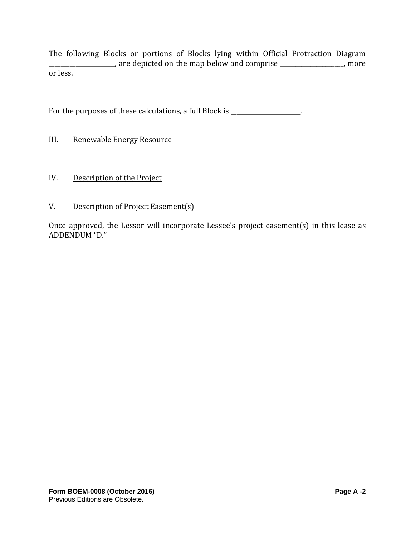The following Blocks or portions of Blocks lying within Official Protraction Diagram  $\frac{1}{2}$  are depicted on the map below and comprise  $\frac{1}{2}$  more or less.

For the purposes of these calculations, a full Block is \_\_\_\_\_\_\_\_\_\_\_\_\_\_\_\_\_\_.

- III. Renewable Energy Resource
- IV. Description of the Project
- V. Description of Project Easement(s)

Once approved, the Lessor will incorporate Lessee's project easement(s) in this lease as ADDENDUM "D."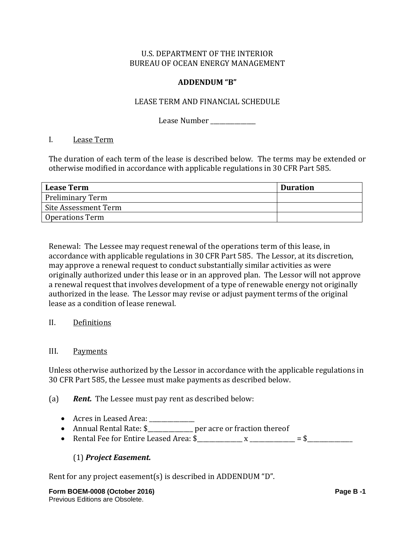#### **ADDENDUM "B"**

#### LEASE TERM AND FINANCIAL SCHEDULE

Lease Number \_\_\_\_\_\_\_\_\_\_\_\_

#### I. Lease Term

The duration of each term of the lease is described below. The terms may be extended or otherwise modified in accordance with applicable regulations in 30 CFR Part 585.

| <b>Lease Term</b>       | <b>Duration</b> |
|-------------------------|-----------------|
| <b>Preliminary Term</b> |                 |
| Site Assessment Term    |                 |
| Operations Term         |                 |

Renewal: The Lessee may request renewal of the operations term of this lease, in accordance with applicable regulations in 30 CFR Part 585. The Lessor, at its discretion, may approve a renewal request to conduct substantially similar activities as were originally authorized under this lease or in an approved plan. The Lessor will not approve a renewal request that involves development of a type of renewable energy not originally authorized in the lease. The Lessor may revise or adjust payment terms of the original lease as a condition of lease renewal.

### II. Definitions

#### III. Payments

Unless otherwise authorized by the Lessor in accordance with the applicable regulations in 30 CFR Part 585, the Lessee must make payments as described below.

### (a) **Rent.** The Lessee must pay rent as described below:

- Acres in Leased Area: \_\_\_\_\_\_\_\_\_\_\_\_
- Annual Rental Rate: \$\_\_\_\_\_\_\_\_\_\_\_\_\_ per acre or fraction thereof
- Rental Fee for Entire Leased Area: \$\_\_\_\_\_\_\_\_\_\_\_\_\_\_\_ x \_\_\_\_\_\_\_\_\_\_\_\_\_\_\_ = \$\_\_\_\_\_\_\_\_\_\_\_\_\_\_\_

### (1) *Project Easement.*

Rent for any project easement(s) is described in ADDENDUM "D".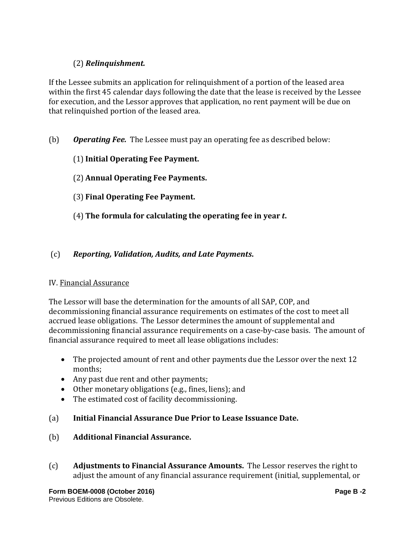# (2) *Relinquishment.*

If the Lessee submits an application for relinquishment of a portion of the leased area within the first 45 calendar days following the date that the lease is received by the Lessee for execution, and the Lessor approves that application, no rent payment will be due on that relinquished portion of the leased area.

- (b) *Operating Fee.* The Lessee must pay an operating fee as described below:
	- (1)**Initial Operating Fee Payment.**
	- (2) **Annual Operating Fee Payments.**
	- (3) **Final Operating Fee Payment.**
	- (4) **The formula for calculating the operating fee in year** *t***.**

### (c) *Reporting, Validation, Audits, and Late Payments***.**

#### IV. Financial Assurance

The Lessor will base the determination for the amounts of all SAP, COP, and decommissioning financial assurance requirements on estimates of the cost to meet all accrued lease obligations. The Lessor determines the amount of supplemental and decommissioning financial assurance requirements on a case-by-case basis. The amount of financial assurance required to meet all lease obligations includes:

- The projected amount of rent and other payments due the Lessor over the next 12 months;
- Any past due rent and other payments;
- Other monetary obligations (e.g., fines, liens); and
- The estimated cost of facility decommissioning.

### (a) **Initial Financial Assurance Due Prior to Lease Issuance Date.**

- (b) **Additional Financial Assurance.**
- (c) **Adjustments to Financial Assurance Amounts.** The Lessor reserves the right to adjust the amount of any financial assurance requirement (initial, supplemental, or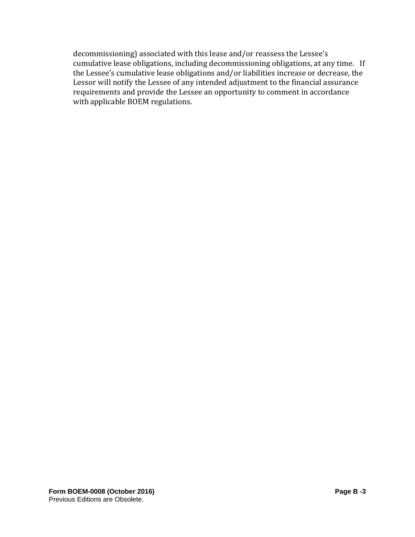decommissioning) associated with this lease and/or reassess the Lessee's cumulative lease obligations, including decommissioning obligations, at any time. If the Lessee's cumulative lease obligations and/or liabilities increase or decrease, the Lessor will notify the Lessee of any intended adjustment to the financial assurance requirements and provide the Lessee an opportunity to comment in accordance with applicable BOEM regulations.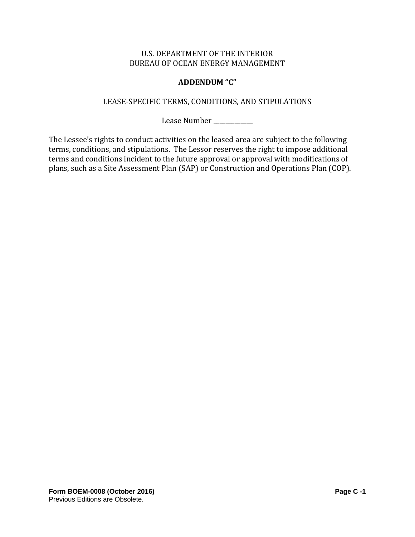### **ADDENDUM "C"**

#### LEASE-SPECIFIC TERMS, CONDITIONS, AND STIPULATIONS

Lease Number

The Lessee's rights to conduct activities on the leased area are subject to the following terms, conditions, and stipulations. The Lessor reserves the right to impose additional terms and conditions incident to the future approval or approval with modifications of plans, such as a Site Assessment Plan (SAP) or Construction and Operations Plan (COP).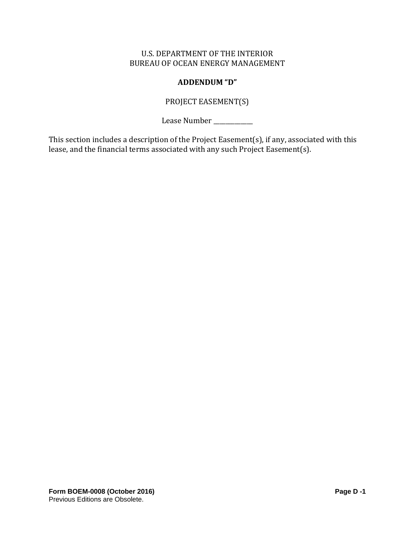## **ADDENDUM "D"**

# PROJECT EASEMENT(S)

Lease Number

This section includes a description of the Project Easement(s), if any, associated with this lease, and the financial terms associated with any such Project Easement(s).